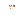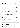### **WINES BY THE GLASS**

| <b>SPARKLING</b>                                                    |                         | 125 ml |    |
|---------------------------------------------------------------------|-------------------------|--------|----|
| NV   Piccini 'Venetian Dress'   Prosecco, Veneto                    | Glera                   | 14     |    |
| NV   Pommery Brut Royal   Champagne                                 | Chard/Pinot N/Pinot M   | 25     |    |
| NV   Pommery Brut Rosè   Champagne                                  | Chard/Pinot N/Pinot M   | 29     |    |
| 2019   Lisa McGuigan 'Black Moscato'   Hunter Valley, NSW           | Muscat/Frantignac       | 15     |    |
| <b>WHITES</b><br>250 ml                                             |                         | 150 ml |    |
| 2019   Santa Margherita   Trentino Alto Adige                       | <b>Pinot Grigio</b>     | 14     | 23 |
| 2018   Derwent Estate   North Hobart, TAS                           | Riesling                | 16     | 26 |
| 2020   Howard   Adelaide Hills, SA                                  | Sauvignon Blanc         | 15     | 25 |
| 2019   Scalunera 'Torre Mora' Etna Bianco   Mt.Etna, Sicilia        | Carricante              | 22     | 34 |
| 2019   Joseph Drouhin Vaudon   Chablis, FRA (B)                     | Chardonnay              | 23     | 37 |
| 2020   Capel Vale 'Regional Series'   Margaret River, WA            | Chardonnay              | 16     | 26 |
| NV   Farnese 'Edizione Bianco'   Abruzzo                            | Pecorino/Grillo/Fiano   | 28     | 41 |
| ORANGE, SKIN CONTACT & MINIMAL INTERVENTION<br>250 ml               |                         | 150 ml |    |
| 2019   Padie Fleur de Cailloux   Roussilion, FRA                    | Grenache Blanc          | 23     | 37 |
| <b>ROSÉ</b><br>250 ml                                               |                         | 150 ml |    |
| 2018   Domaines Royale de Jarras 'Pink Flamingo'   Camargue, FRA    | Grenache Gris           | 15     | 25 |
| 2019   Ultimate Provence   Cotes de Provence, FRA                   | Grenache/Cinsault/Syrah | 18     | 29 |
| 2019   La Chapelle Gordonne   Cotes de Provence, FRA                | Grenache Blanc/Syrah    | 28     | 44 |
| <b>REDS</b><br>250 ml                                               |                         | 150 ml |    |
| 2019   Levantine Hill 'The Coldstream Guard'   Yarra Valley, VIC    | <b>Pinot Noir</b>       | 17     | 27 |
| 2017   Gabriele Scaglione   Langhe, Piemonte                        | <b>Nebbiolo</b>         | 20     | 33 |
| 2016   Piccini Riserva 'Antica Cinta Oro'   Chianti, Toscana        | Sangiovese              | 15     | 25 |
| 2017   Smidge 'La Grenouille'   McLaren Vale, SA                    | Cabernet Sauvignon      | 16     | 26 |
| 2019   Kay Brothers 'Basket Pressed'   McLaren Vale, SA             | Shiraz                  | 17     | 27 |
| 2017   Farnese 'Edizione 5 Autoctoni'   Abruzzo                     | Montepulciano Blend     | 31     | 51 |
| 2013   Famiglia Pasqua 'Black Label'   Amarone Valpolicella, Veneto | Corv/Rond/Moli          | 38     | 59 |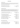### CHARMAT METHOD

This method involves the wine undergoing a secondary fermentation in large, stainless steel tanks. The process of adding yeasts and sugars is the same, but with the process being carried out in large vessels, the wine retains a lot of its fruit forward characteristics.

| NV   Piccini 'Venetian Dress'   Prosecco, Veneto           | Glera               | -67  |
|------------------------------------------------------------|---------------------|------|
| 2020   Hentley Farm ' Blanc de Noir '   Barossa Valley, SA | Grenache/Pinot Noir | - 89 |
| NV   Monte delle Vigne   Parma, Emilia Romagna             | Lambrusco           | 78   |

#### CHAMPENOISE METHOD

This method of sparkling production is completely carried out inside the bottle. The wine is made first and then placed in the bottle, where sugars and yeasts are directly added to initialize fermentation. (Fermentation occurs when yeast "eats" the sugars and converts them to alcohol, naturally creating a by a product of carbon dioxide.) This process allows the yeast to strongly influence the flavours of the wine.

| NV   Bellavista Cuvée Brut   Franciacorta, Lombardia                 | Chard/Pinot N/Pinot B 135 |     |
|----------------------------------------------------------------------|---------------------------|-----|
| 2015   Bellavista 'Teatro alla Scala' Brut   Franciacorta, Lombardia | Chard/Pinot N             | 180 |
|                                                                      |                           |     |
| 2009   Dom Perignon Brut Vintage   Champagne                         | Chard/Pinot N             | 430 |
| NV   Pommery Brut Royal   Champagne                                  | Chard/Pinot N/Pinot M 145 |     |
| NV   Pommery Brut 'Apanage' Blanc de Blanc   Champagne               | Chardonnay                | 170 |
| 2006   Pommery Grand Cru Vintage   Champagne                         | Chard/Pinot N 220         |     |
| NV   Krug Grande Cuvée   Champagne                                   | Chard/Pinot N/Pinot M     | 480 |
| 2004   Pommery 'Cuvee de Prestige Louise'   Champagne                | Chard/Pinot N 510         |     |
| 2008   Louis Roederer 'Cristal'   Champagne                          | Pinot N/Chard             | 570 |
| 2012   Louis Roederer 'Cristal'   Champagne                          | Pinot N/Chard 520         |     |

### ROSÉ CHAMPENOISE METHOD

| NV   Pommery Brut Rosé   Champagne                     | Chard/Pinot N/Pinot M 170 |  |
|--------------------------------------------------------|---------------------------|--|
| 2014   Bellavista Cuvée Rosé   Franciacorta, Lombardia | Chard/Pinot N $178$       |  |
| 2007   Perriet Jouet 'Belle Epoque' Rosé   Champagne   | Chard/Pinot $N$ 530       |  |
| 2005   Dom Perignon Vintage Rosé   Champagne           | Chard/Pinot Nr 890        |  |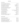### NATIVE VARIETIES

| 2018   Cordero di Montezemolo   Langhe, Piemonte             | Arneis                            | 87  |
|--------------------------------------------------------------|-----------------------------------|-----|
| 2015   Cave Mont Blanc Morgex et de la Salle   Val d'Aosta   | Prie Blanc                        | 92  |
| 2010   Gabriele Scaglione 'Ellis'   Langhe, Piemonte         | Arneis/Chardonnay                 | 135 |
| 2016   Smidge 'The Gruve'   McLaren Vale, SA                 | Gruner Veltliner                  | 72  |
| 2013   Nals Magreid 'Lyra'   Trentino Alto Adige             | Gewurztraminer                    | 81  |
| 2019   Villa Sparina 'Gavi di Gavi'   Piemonte               | Cortese                           | 93  |
| 2019   Scalunera 'Torre Mora' Etna Bianco   Mt.Etna, Sicilia | Carricante                        | 108 |
| 2018   Ca'Liptra 'Kypra'   Castelli di Jesi, Marche (O)      | Verdicchio                        | 90  |
| 2018   Torbrek   Barossa Valley, SA                          | <b>Marsanne</b>                   | 105 |
| 2019   Visentini   Colli Orientali, Friuli                   | Friulano                          | 85  |
| 2017   Pasqua 'Hey French'   Veneto                          | Garganega/Pinot Bianco/Sauv Blanc | 169 |
| NV   Farnese 'Edizione Bianco'   Abruzzo                     | Pecorino/Grillo/Fiano             | 130 |
| 2018   Bio Vio Pigato   Liguria (O)                          | Pigato                            | 93  |
| 2019   Mesa 'Giunco'   Sardegna                              | Vermentino                        | 88  |
| 2019   Macchialupa   Tufo, Campania                          | Greco di Tufo                     | 81  |
| 2018   Tenuta Ulisse   Abruzzo                               | Pecorino                          | 74  |
| 2019   Cecilia Beretta ' Brognoligo 'Soave Classico   Veneto | Garganega                         | 80  |
| 2019   Cielo e Terra '3 Passo Bianco'   Puglia (O V)         | Fiano/Chardonnay                  | 69  |

### RIESLING | KERNER

| 2018   Derwent Estate   North Hobart, TAS                        | Riesling        | 75  |
|------------------------------------------------------------------|-----------------|-----|
| 2018   Bream Creek   Maria Island, TAS                           | Riesling        | 87  |
| 2018   Rippon 'Mature Vine'   Central Otago, NZ (B)              | Riesling        | 141 |
| 2019   Mount Langi Ghiran 'Talus'   Grampians, VIC               | Riesling        | 84  |
| 2019   St. Michael Eppan 'Montiggl'   Alto Adige                 | Riesling        | 129 |
| 2013   Sylvie Spielmann 'Kanzelberg' Grand Cru   Alsace, FRA (O) | <b>Riesling</b> | 167 |
| 2018   Kellerei Bozen   Sudtirol Alto Adige, Trentino            | Kerner          | 95  |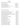#### **WHITE WINES**

## SAUVIGNON BLANC | SEMILLON | CHENIN BLANC

| 2020   Howard   Adelaide Hills, SA                                   | Sauvignon Blanc 67     |     |
|----------------------------------------------------------------------|------------------------|-----|
| 2019   Livon   Collio, Friuli Venezia Giulia                         | Sauvignon Blanc        | 75  |
| 2020   Alan McCorkindale   Marlbourough, NZ                          | Sauvignon Blanc 81     |     |
| 2018   Chateau de Sancerre 'AOC'   Loire, FRA                        | Sauvignon Blanc        | 139 |
| 2018   Bimbadgen 'McDonalds Rd' Single Vineyard   Hunter Valley, NSW | Semillion              | 99  |
| 2020   Pierro 'L.T.C.'   Margaret River, WA                          | Semillion/Sauv B/Chard | 79  |
| 2014   Chateau de la Roche 'Cuvee' Colette'   Loire, FRA             | Chenin Blanc           | 105 |

## CHARDONNAY | CHARDONNAY BLEND

| 2019   Joseph Drouhin Vaudon   Chablis, FRA (B)                                       | Chardonnay | 110 |
|---------------------------------------------------------------------------------------|------------|-----|
| 2017   Domaine Vocoret et Fils 'Cuvee Etain' Cru   Chablis, FRA   Chablis, FRA        | Chardonnay | 165 |
| 2015   Domaine Vocoret et Fils 'Valmur' Grand Cru   Chablis, FRA                      | Chardonnay | 320 |
| 2018   Domaine Remi Jobard 'En Luraule' Meursault   Chablis, FRA                      | Chardonnay | 390 |
| 2016   Bret Brothers La Soufrandiere Climat 'La Bonnode' Saint Veran   Burgundy, FRA  | Chardonnay | 380 |
| 2017   Domaine Arnauld Baillot 'Vieilles Vignes' Chassagne Montrachet   Burgundy, FRA | Chardonnay | 360 |
| 2018   Fasoli Gino 'Perantoine'   Veneto (B V)                                        | Chardonnay | 81  |
| 2019   Josef Chromy   Launceston, TAS                                                 | Chardonnay | 60  |
| 2015   Bricco Maiolica 'Pensiero Infinito'   Langhe, Piemonte                         | Chardonnay | 245 |
| 2015   Bellavista Convento Santissima Annunciata   Lombardia                          | Chardonnay | 195 |
| 2017   Gaja & Rey   Langhe, Piemonte                                                  | Chardonnay | 655 |
| 2019   Pierro   Margaret River, WA (B)                                                | Chardonnay | 194 |
| 2018   Leeuwin Estate 'Art Series'   Margaret River, WA                               | Chardonnay | 229 |
| 2019   Yering Station 'Village'   Yarra Valley, VIC                                   | Chardonnay | 71  |
| 2017   Jones Road 'Nepean'   Mornington Peninsula, VIC                                | Chardonnay | 98  |
| 2019   Bannockburn   Geelong, VIC                                                     | Chardonnay | 135 |
| 2018   Serafino 'Sharktooth' Wild Ferment   McLaren Vale, SA                          | Chardonnay | 96  |
| 2017   Levantine Hill 'Estate Range'   Yarra Valley, VIC                              | Chardonnay | 141 |
| 2020   Capel Vale 'Regional Series'   Margaret River, WA                              | Chardonnay | 73  |
| 2017   Xanadu 'Stevens Road'   Margaret River, WA                                     | Chardonnay | 182 |
| 2019   Church Road 'Grand Reserve'   Hawkes Bay, NZ                                   | Chardonnay | 125 |
| 2013   Church Road 'Tom McDonald'   Hawkes Bay, NZ                                    | Chardonnay | 270 |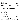#### **WHITE WINES**

### PINOT GRIGIO | PINOT GRIS | PINOT BIANCO

| 2018   Tenuta Maccan   Friuli, Italy                       | Pinot Grigio 65  |  |
|------------------------------------------------------------|------------------|--|
| 2019   Santa Margherita   Trentino Alto Adige              | Pinot Grigio 69  |  |
| 2019   Ostler' Audrey's ' North Otago, NZ                  | Pinot Gris 87    |  |
| 2019   St. Michael-Eppan 'Anger'   South Tyrol, Alto Adige | Pinot Grigio 129 |  |
| 2018   Kellerei Bozen   Trentino Alto Adige                | Pinot Bianco 78  |  |

### **ORANGE | SKIN CONTACT & MINIMAL INTERVENTION WINES**

For those wanting to try something different, this are wines made by leaving the grape skins and seeds in contact with the juice, creating a deep orange hued finished product, often unfiltered. On the palate, they're big, dry and textured...amazing with food.

| 2019   Lunaria 'Ramoro'   Abruzzo (O B V)                 | <b>Pinot Grigio</b> | 88  |
|-----------------------------------------------------------|---------------------|-----|
| 2018   Rochford   Yarra Valley, VIC                       | <b>Pinot Gris</b>   | 69  |
| 2019   Orriu 'Sulle Bucce'   Sardegna                     | Vernaccia           | 99  |
| 2019   Padie Fleur de Cailloux   Roussilion, FRA          | Grenache Blanc      | 103 |
| 2018   Smidge 'Pedra Branca' Pet Nat   Adelaide Hills, SA | Sauvignon Blanc     | 85  |
| 2007   Gravner 'Anfora'   Friuli Venezia Giulia           | Ribolla Gialla      | 240 |
| 2016   Visintini 'Amphora'   Friuli Venezia Giulia        | Friulano            | 127 |
| 2018   Podere Pradarolo 'Vej'   Emilia Romagna (O B)      | Malvasia            | 90  |
| 2018   De Fermo 'Launegild'   Abruzzo                     | Chardonnay          | 130 |
|                                                           |                     |     |

### **ROSÉ WINES**

Rosé happens when the skins of red grapes touch wine for only a short time. Where some red wines ferment for weeks at a time on red grape skins, rosé wines are stained red for just a few hours.

| 2019   Levantine Hill 'The Coldstream Guard'   Yarra Valley, VIC   | Pinot Noir 77               |      |
|--------------------------------------------------------------------|-----------------------------|------|
| 2018   Domaines Royale de Jarras 'Pink Flamingo'   Camargue, FRA   | Grenache Gris               | - 74 |
| 2019   Ultimate Provence   Cotes de Provence, FRA                  | Grenache/Cinsault/Syrah     | 85   |
| 2019   La Chapelle Gordonne   Cotes de Provence, FRA               | Grenache Blanc/Syrah 130    |      |
| 2019   Pasqua '11 Minutes'   Veneto                                | Corv/Treb/Syrah/Carmenere   | 69   |
| 2018   Domaines Ott 'Clos Mireille Coeur de Grain'   Provence, FRA | Grenache/Cinsault/Syrah 174 |      |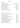### NATIVE VARIETIES

| 2017   Vigneti Repetto Rosso   Piemonte                     | Barbera/Croatina 75                     |     |
|-------------------------------------------------------------|-----------------------------------------|-----|
| 2016   Wiegner 'Tre Terre'   Etna Rosso, Sicilia            | Nerello Mascalese/Nerello Cappuccio 125 |     |
| 2017   Cordero Montezemolo   Dolcetto d'Alba, Piemonte      | Dolcetto                                | 87  |
| 2018   Seghesio   Barbera d'Alba, Piemonte                  | Barbera                                 | 97  |
| 2016   Mesa 'Moro'   Cannonau, Sardinia                     | Cannonau                                | 99  |
| 2016   Cusumano 'Benuara'   Sicilia                         | Nero d'Avola                            | 89  |
| 2019   Cielo e Terra '3 Passo Rosso'   Puglia (O)           | Negroamaro/Sangiovese                   | 69  |
| 2016   Vigneti del Salento 'Leggenda'   Puglia              | Primitivo                               | 165 |
| 2018   Le Vigne di Sammarco   Puglia                        | Negroamaro                              | 72  |
| 2013   Fattoria Colsanto   Sagrantino di Montefalco, Umbria | Sagrantino                              | 112 |
| 2012   Vesevo Taurasi 'Ensis' Limited Release   Campania    | Aglianico                               | 119 |
|                                                             |                                         |     |

# PINOT NOIR | PINOT NERO | GAMAY | MEUNIER

| 2017   Maison Thorin 'La Perdrisette' Beaujolais Villages   Beaujolais, FRA      | Gamay             | 60  |
|----------------------------------------------------------------------------------|-------------------|-----|
| 2020   Oakridge   Yarra Valley, VIC (V)                                          | Meunier           | 81  |
| 2019   Kellerei Bozen   Alto Adige, Trentino                                     | Pinot Nero        | 87  |
| 2019   Levantine Hill 'The Coldstream Guard'   Yarra Valley, VIC                 | <b>Pinot Noir</b> | 79  |
| 2018   Yering Station 'Laura Barnes' Single Vineyard   Yarra Valley, VIC         | <b>Pinot Noir</b> | 167 |
| 2018   Louis Jadot 'Couvent des Jacobins'   Burgundy, FRA                        | <b>Pinot Noir</b> | 91  |
| 2019   Riverdale Estate   Coal River, TAS                                        | Pinot Noir        | 79  |
| 2018   Domaine Arnauld Baillot 'Vieilles Vignes'   Nuit S. George, Burgundy, FRA | Pinot Noir        | 330 |
| 2015   Joseph Drouhin Gevrey Chambertin   Burgundy, FRA                          | Pinot Noir        | 260 |
| 2017   Jones Road 'Nepean'   Mornington Peninsula, VIC                           | Pinot Noir        | 115 |
| 2019   Yabbi Lake Single Vineyard   Mornington Peninsula, VIC                    | Pinot Noir        | 159 |
| 2018   Craggy Range 'Aroha'   Martinborough, NZ                                  | Pinot Noir        | 230 |
| 2016   Ostler 'Caroline's'   North Otago, NZ                                     | Pinot Noir        | 145 |
| 2014   Alan McCorkindale ' Single Barrel'   Waipara Valley, NZ                   | Pinot Noir        | 165 |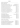### SANGIOVESE | SANGIOVESE BLEND

## NEBBIOLO | NEBBIOLO BLEND

| 2018   Tenuta Mara 'Guiry Bio Dynamic'   Romagna                     | Sangiovese Rubicone 105      |     |
|----------------------------------------------------------------------|------------------------------|-----|
| 2016   Vigneti Vallorani 'Polisia' Rosso Piceno Superiore   Marche   | Sangiovese/Montepulciano     | 81  |
| 2014   Bibi Graetz Testamatta 'Soffocone di Vincigliata'   Toscana   | Sangiovese/Canaiolo/Colorino | 152 |
| 2013   Poggio Mandorlo 'La Querce'   Montecucco, Toscana             | Sangiovese                   | 118 |
| 2016   Querce Bettina   Rosso di Montalcino, Toscana                 | Sangiovese                   | 109 |
| 2016   Piccini Riserva 'Antica Cinta Oro'   Chianti, Toscana         | Sangiovese                   | 71  |
| 2014   Piccini Brunello   Brunello di Montalcino, Toscana            | Sangiovese                   | 160 |
| 2013   Querce Bettina 'Riserva'   Brunello di Montalcino, Toscana    | Sangiovese                   | 330 |
| 2015   Valdapiatta 'Alfiero'   Vino Nobile di Montepulciano, Toscana | Sangiovese                   | 179 |
| 2010   La Fornace 'Riserva'   Brunello di Montalcino, Toscana        | Sangiovese                   | 550 |
| 2012   Villa al Cortile 'Riserva'   Brunello di Montalcino, Toscana  | Sangiovese                   | 240 |
| NV   Cinquesegni 'Il Segno'   Multiregional, ITA                     | Sangiovese Blend             | 185 |
|                                                                      |                              |     |

| 2016   Gaja   Barbaresco, Piemonte                                   | Nebbiolo 570                |     |
|----------------------------------------------------------------------|-----------------------------|-----|
| 2017   Gaja 'Sito Moresco'   Langhe, Piemonte                        | Nebbiolo/Barbera/Merlot 210 |     |
| 2017   Gabriele Scaglione   Langhe, Piemonte                         | Nebbiolo                    | 98  |
| 2016   Cordero di Montezemolo 'Monfalletto' Barolo   Piemonte        | Nebbiolo                    | 248 |
| 2008   Seghesio 'Pajana' Barolo Riserva   Piemonte                   | Nebbiolo                    | 320 |
| 2016   Enrico Rivetto Barolo   Serralunga, Piemonte                  | Nebbiolo                    | 198 |
| 2011   Gabriele Scaglione 'Passione di Re' Barolo Riserva   Piemonte | Nebbiolo                    | 299 |
| 2014   Luciano Sandrone 'Le Vigne' Barolo   Piemonte                 | Nebbiolo                    | 398 |
|                                                                      |                             |     |

### MOLINARA | CORVINA | RONDINELLA

| 2018   Fasoli Gino   Valpolicella, Veneto (O B V)                              | Corv/Rond/Moli 77  |  |
|--------------------------------------------------------------------------------|--------------------|--|
| 2017   Fasoli Gino 'La Corte del Pozzo' Ripasso   Valpolicella, Veneto (O B V) | Corv/Rond/Moli 132 |  |
| 2013   Famiglia Pasqua 'Black Label'   Amarone Valpolicella Classico, Veneto   | Corv/Rond/Moli 165 |  |
| 2008   Cecilia Beretta Riserva   Amarone Valpolicella Classico, Veneto         | Corv/Rond/Moli 210 |  |
| 2012   Masi 'Costasera' Riserva   Amarone Valpolicella, Veneto                 | Corv/Rond/Moli 320 |  |
| 2011   Masi 'Mazzano'   Amarone Valpolicella, Veneto                           | Corv/Rond/Moli 540 |  |
| 2006   Famiglia Pasqua 'Anniversary'   Amarone Valpolicella, Veneto            | Corv/Rond/Moli 470 |  |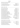#### **RED WINES**

#### MONTEPULCIANO | MONTEPULCIANO BLEND

 | Tenuta Ulisse 'Amaranta' |Abruzzo *Montepulciano* 97 NV | Tenuta Ulisse '10 Vendemmie' |Abruzzo *Montepulciano* 185 | Vigneti Vallorani 'Kone' Piceno Superiore| Marche *Montepulciano/Sangiovese* 131 | Farnese 'Edizione 5 Autoctoni' | Abruzzo *Montepulciano Blend* 152

#### CABERNET | MERLOT | BLEND

2017 | Livon | Collio, Friuli Venezia Giulia *Cabernet Franc* 75 2015 | Chateau de la Roche | Loire, FRA *Cabernet Franc* 105 2006 | Reschke 'Bos' | Coonawarra, SA *Cabernet Sauvignon* 125 2015 | Montecariano 'Puntara' | Veneto *Cabernet Sauvignon* 152 2019 | Xanadu | Margaret River, WA *Cabernet Sauvignon* 87 2017 | Smidge 'La Grenouille' | McLaren Vale, SA *Cabernet Sauvignon* 74 2016 | Henschke 'Abbots Prayer' | Adelaide Hills, SA *Cab Sauv/Merlot* 210 2014 | Tenuta San Guido 'Sassicaia'| Bolgheri, Toscana *Cab Sauv/Cab Franc* 1200 2016 | Tenuta San Guido 'Sassicaia'| Bolgheri, Toscana *Cab Sauv/Cab Franc* 1600 2015 | Elderton Elite Single Vineyard 'Ashmead' | Barossa Valley, SA *Cabernet Sauvignon* 210 2017 | Moss Wood | Margaret River, WA *Cabernet Sauvignon* 230 2017 | Gaja Ca' Marcanda 'Promis' | Toscana *Merlot/Syrah/Sangiovese* 165 2017 | Moss Wood 'Ribbon Vale' | Margaret River, WA *Merlot* 110 2015 | Chateau Du Vallier AOC | Cotes de Bordeaux, FRA *Merlot/Cab Sauv/Cab Franc* 105 2014 | Clos Cantenac 'Saint Emilion Grand Cru' | Bordeaux, FRA *Merlot/Cab Franc/Cab Sauv* 240 2016 | Pasqua 'Passione & Sentimento' | Veneto *Merlot/Corvina* 75 2009 | Orlando 'Jacaranda Ridge' | Coonawarra, SA *Cabernet Sauvignon* 270

#### GSM BLEND (GRENACHE | SHIRAZ | MATARO)

| 2016   Haselgrove Origin 'Vine Sean'   McLaren Vale, SA      | Grenache 85                  |     |
|--------------------------------------------------------------|------------------------------|-----|
| 2015   Domaine de FontSane 'Cuvee Tradition'   Gigondas, FRA | Grenache/Syrah/Mouv/Cins 152 |     |
| 2019   Hentley Farm 'the Old Legend'   Barossa Valley, SA    | Grenache 139                 |     |
| 2017   Smidge 'St Brioc'   Barossa Valley, SA                | Grenache/Carignan 69         |     |
| 2013   Marrenon 'Gardarem'   Luberone, Rhone                 | Grenache 210                 |     |
| 2019   Gemtree 'Small Batch'   McLaren Vale, SA (O)          | Mataro                       | 116 |

- -
- -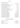### SHIRAZ | SYRAH | SHIRAZ BLEND

| 2018   Yering Station 'Estate'   Yarra Valley, VIC                      | Shiraz/Viogner       | 104  |
|-------------------------------------------------------------------------|----------------------|------|
| 2020   Silkman 'Estate'   Hunter Valley, NSW                            | Shiraz/Pinot Noir    | 74   |
| 2018   Vincent Paris 'Selection' Crozes Hermitage   Northern Rhone, FRA | Syrah                | 87   |
| 2019   Kay Brothers 'Basket Pressed'   McLaren Vale, SA                 | <b>Shiraz</b>        | 79   |
| 2018   Leeuwin Estate 'Art Series'   Margaret River, WA                 | <b>Shiraz</b>        | 99   |
| 2017   Alessandro di Camporeale 'Kaid' Riserva   Sicilia                | Syrah                | 124  |
| 2016   Smidge 'S'   Barossa Valley, SA                                  | <b>Shiraz</b>        | 157  |
| 2018   The Yard 'Riversdale'   Great Southern, WA                       | Shiraz               | 81   |
| 2017   Mount Langi Ghiran 'Talus'   Grampians, VIC                      | <b>Shiraz</b>        | 135  |
| 2018   Domaine Jolivet 'L'Instinct' Saint Joseph   Northern Rhone, FRA  | Syrah                | 145  |
| 2017   Kay Brothers 'Amery Vineyards Block 6'   McLaren Vale, SA        | <b>Shiraz</b>        | 290  |
| 2012   Serafino 'Terremoto'   McLaren Vale, SA                          | <b>Shiraz</b>        | 220  |
| 2018   Torbreck 'The Gask'   Eden Valley, SA                            | <b>Shiraz</b>        | 159  |
| 2013   Torbreck 'Run Rig'   Barossa Valley, SA                          | Shiraz/Viogner       | 780  |
| 2015   Henschke 'Mount Edelstone'   Eden Valley, SA                     | <b>Shiraz</b>        | 420  |
| 2014   Penfolds 'Bin 95 Grange'   MultiRegional, SA                     | Shiraz/Cab Sauv      | 1600 |
| 2013   Penfolds 'Bin 95 Grange'   MultiRegional, SA                     | Shiraz/Cab Sauv      | 1600 |
| 2011   Penfolds 'Bin 95 Grange'   MultiRegional, SA                     | Shiraz/Cab Sauv      | 2000 |
| 2010   Penfolds 'Bin 95 Grange'   MultiRegional, SA                     | Shiraz/Cab Sauv      | 1700 |
| 2008   Penfolds 'Bin 95 Grange'   MultiRegional, SA                     | Shiraz/Cab Sauv      | 1600 |
| 2006   Penfolds 'Bin 95 Grange'   MultiRegional, SA                     | Shiraz/Cab Sauv 2000 |      |
| 2004   Penfolds 'Bin 95 Grange'   MultiRegional, SA                     | Shiraz/Cab Sauv 1700 |      |

## **NON ALCOHOLIC/LOW ALCOHOL WINES**

| Lisa McGuigan 'Zero'   Hunter Valley, NSW | Chardonnay           | 50 |
|-------------------------------------------|----------------------|----|
| Lindeman's   VIC                          | Semillion/Chardonnay | 50 |
| Plus & Minus   Langhorne Creek, SA        | <b>Pinot Noir</b>    | 50 |
| Edenvale   NSW                            | Cabernet Sauvignon   | 50 |
| Lisa McGuigan 'Zero'   Hunter Valley, NSW | Shiraz               | 50 |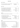#### **DESSERT WINES**

| <b>LIGHTLY SPARKLING</b><br>btl                                  |                    | 125 ml |     |
|------------------------------------------------------------------|--------------------|--------|-----|
|                                                                  |                    |        |     |
| 2019   Lisa McGuigan 'Black Moscato'   Hunter Valley, NSW 0.75 L | Muscat/Frontignac  | 15     | 75  |
| 2014   Picchione   Sangue di Giuda, Lombardia 0.75 L             | Bonarda/Barbera    |        | 70  |
|                                                                  |                    |        |     |
| <b>RICHLY SWEET</b><br>btl                                       |                    | 70 ml  |     |
|                                                                  |                    |        |     |
| 2012   Nals Margreid 'Passito'   Alto Adige, Trentino 0.75 L     | Moscato G          |        | 140 |
| 2018   Cantine Pellegrino 'Passito'   Pantelleria, Sicilia 0.5 L | Zibibbo            | 16     | 105 |
| 2013   Pannon Tokaji Aszú 5 Puttonyos   Hungary 0.5 L            | <b>Furmint</b>     |        | 170 |
| 2003   Rossetti 'Il Nostro' Vin Santo   Chianti, Toscana 0.375L  | Malvasia/Trebbiano | 18     | 72  |
| 2016   Bimbadgen 'Botrytis'   Riverina, NSW 0.375L               | Semillion          | 12     | 48  |
| NV   Bethany 'Late Harvest Rieling'   Barossa Valley, SA 0.5 L   | Riesling           |        | 69  |
|                                                                  |                    |        |     |
|                                                                  |                    |        |     |

#### FORTIFIED 70 ml

#### btl

Fortified wines are made with an addition of spirit, usually Brandy…

| 2016   Collefrisio 'Sottosopra'   Abruzzo 0.5 L               | Montepulciano/Sour Cherry |    | 70     |
|---------------------------------------------------------------|---------------------------|----|--------|
| NV   Valdespino 'Pedro Ximenez'   Jerez, Andalucia 0.75 L     | Pedro Ximenez             |    | 14 110 |
| 2011   Rozes LBV Vintage Port   POR 0.75 L                    | Touriga/Tinta             | 19 | 170    |
| NV   Rozes Tawny Port   POR 0.75 L                            | Touriga/Tinta             |    | 95     |
| NV   Gonzales Byass Solera 1847 Cream   Jerez, SPA 0.75 L     | Palomino/Pedro Ximenez    |    | 125    |
| NV   Grant Burge 'Muscat' 10 y.o.   Barossa Valley, SA 0.75 L | Muscat                    | 16 | 120    |

#### GRAPPA

30 ml

Grappa is a traditionally Italian spirit distilled from all the solid matter left over from wine making.

| Gaja & Rey   Piemonte                    | Chardonnay                             | 22 |
|------------------------------------------|----------------------------------------|----|
| Grappa Alberti   Campania                | Falanghina                             | 17 |
| Masi Barrique   Veneto                   | Amarone                                | 19 |
| Masi Serego Alighieri   Veneto           | Amarone                                | 16 |
| Eligo dell'Ornellaia Riserva   Toscana   | Cab Sauv/Merlot/Cab Franc              | 20 |
| Antichi Poderi Jerzu   Sardegna          | Cannonau                               | 16 |
| Vecchia Grappa Caffo Barrique   Calabria | Pinot Grigio/Chard/Sauvignon B/Refosco | 18 |
| Sgnape dal Fogolar   Friuli              | Cabernet/Chardonnay/Sauvignon          | 19 |